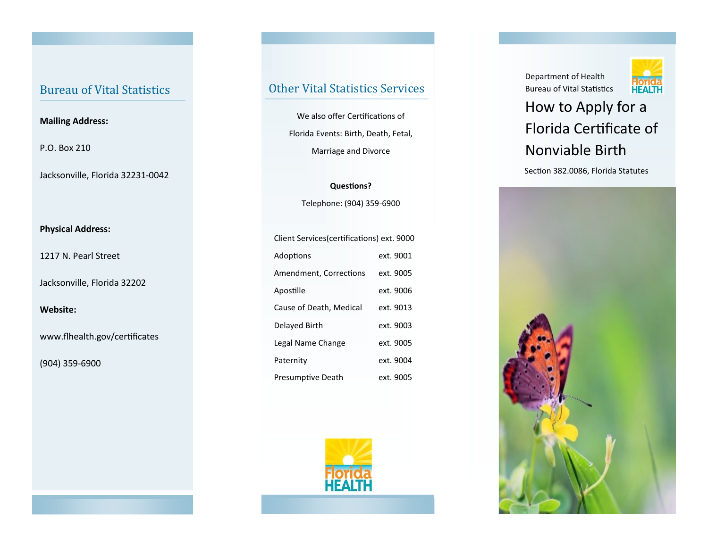## Bureau of Vital Statistics

#### **Mailing Address:**

P.O. Box 210

Jacksonville, Florida 32231-0042

#### **Physical Address:**

1217 N. Pearl Street

Jacksonville, Florida 32202

#### **Website:**

www.flhealth.gov/certificates

(904) 359-6900

## Other Vital Statistics Services

We also offer Certifications of Florida Events: Birth, Death, Fetal, Marriage and Divorce

**Questions?** Telephone: (904) 359-6900

| Client Services (certifications) ext. 9000 |           |
|--------------------------------------------|-----------|
| Adoptions                                  | ext. 9001 |
| Amendment, Corrections                     | ext. 9005 |
| Apostille                                  | ext. 9006 |
| Cause of Death, Medical                    | ext. 9013 |
| Delayed Birth                              | ext. 9003 |
| Legal Name Change                          | ext. 9005 |
| Paternity                                  | ext. 9004 |
| Presumptive Death                          | ext. 9005 |



Department of Health Bureau of Vital Statistics



# How to Apply for a Florida Certificate of Nonviable Birth

Section 382.0086, Florida Statutes